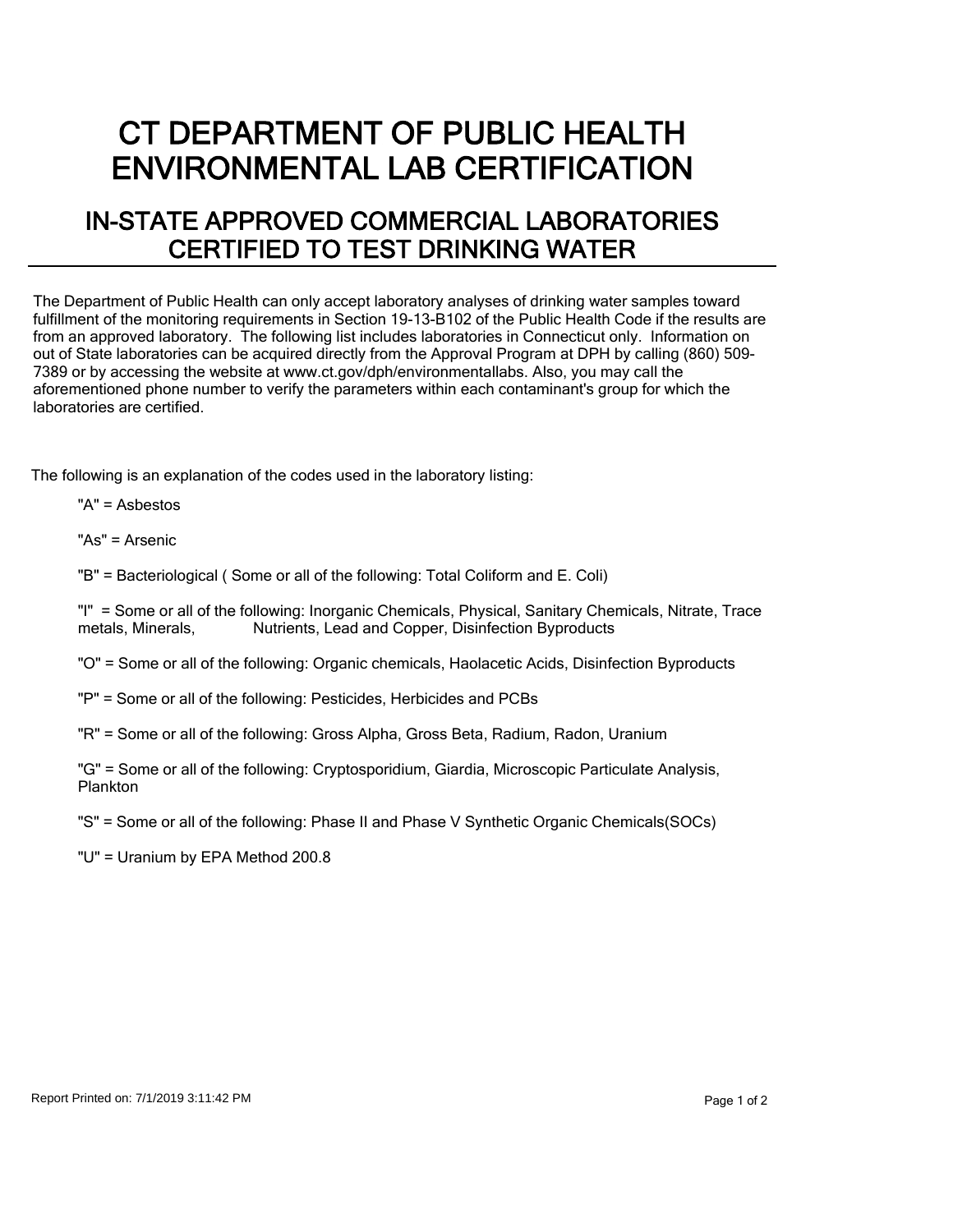## CT DEPARTMENT OF PUBLIC HEALTH ENVIRONMENTAL LAB CERTIFICATION

## IN-STATE APPROVED COMMERCIAL LABORATORIES CERTIFIED TO TEST DRINKING WATER

The Department of Public Health can only accept laboratory analyses of drinking water samples toward fulfillment of the monitoring requirements in Section 19-13-B102 of the Public Health Code if the results are from an approved laboratory. The following list includes laboratories in Connecticut only. Information on out of State laboratories can be acquired directly from the Approval Program at DPH by calling (860) 509- 7389 or by accessing the website at www.ct.gov/dph/environmentallabs. Also, you may call the aforementioned phone number to verify the parameters within each contaminant's group for which the laboratories are certified.

The following is an explanation of the codes used in the laboratory listing:

"A" = Asbestos

"As" = Arsenic

"B" = Bacteriological ( Some or all of the following: Total Coliform and E. Coli)

"I" = Some or all of the following: Inorganic Chemicals, Physical, Sanitary Chemicals, Nitrate, Trace metals. Minerals. Nutrients. Lead and Copper. Disinfection Byproducts Nutrients, Lead and Copper, Disinfection Byproducts

"O" = Some or all of the following: Organic chemicals, Haolacetic Acids, Disinfection Byproducts

"P" = Some or all of the following: Pesticides, Herbicides and PCBs

"R" = Some or all of the following: Gross Alpha, Gross Beta, Radium, Radon, Uranium

"G" = Some or all of the following: Cryptosporidium, Giardia, Microscopic Particulate Analysis, Plankton

"S" = Some or all of the following: Phase II and Phase V Synthetic Organic Chemicals(SOCs)

"U" = Uranium by EPA Method 200.8